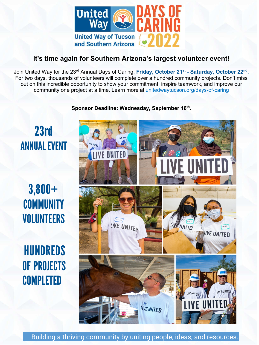

## **It's time again for Southern Arizona's largest volunteer event!**

Join United Way for the 23<sup>rd</sup> Annual Days of Caring, Fri<mark>day, October 21<sup>st</sup> - Saturday, October 22<sup>nd</sup>.</mark> For two days, thousands of volunteers will complete over a hundred community projects. Don't miss out on this incredible opportunity to show your commitment, inspire teamwork, and improve our community one project at a time. Learn more at unitedwaytucson.org/days-of-caring

**Sponsor Deadline: Wednesday, September 16th .** 

## 23rd ANNUAL EVENT

3,800+ **COMMUNITY** VOLUNTEERS

HUNDREDS OF PROJECTS **COMPLETED** 



Building a thriving community by uniting people, ideas, and resources.